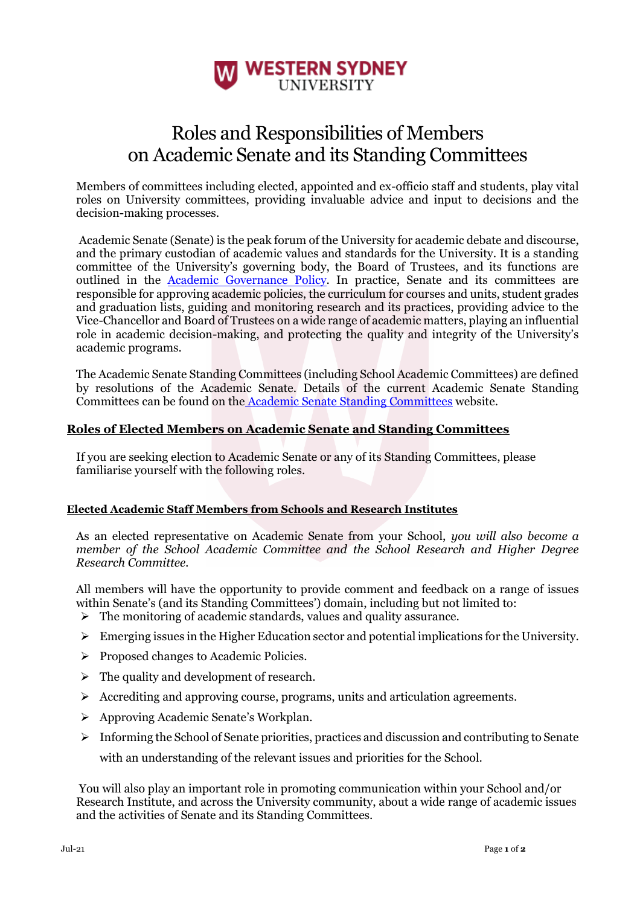

## Roles and Responsibilities of Members on Academic Senate and its Standing Committees

Members of committees including elected, appointed and ex-officio staff and students, play vital roles on University committees, providing invaluable advice and input to decisions and the decision-making processes.

Academic Senate (Senate) is the peak forum of the University for academic debate and discourse, and the primary custodian of academic values and standards for the University. It is a standing committee of the University's governing body, the Board of Trustees, and its functions are outlined in the **Academic Governance Policy**. In practice, Senate and its committees are responsible for approving academic policies, the curriculum for courses and units, student grades and graduation lists, guiding and monitoring research and its practices, providing advice to the Vice-Chancellor and Board of Trustees on a wide range of academic matters, playing an influential role in academic decision-making, and protecting the quality and integrity of the University's academic programs.

The Academic Senate Standing Committees (including School Academic Committees) are defined by resolutions of the Academic Senate. Details of the current Academic Senate Standing Committees can be found on the [Academic Senate Standing Committees](http://www.uws.edu.au/about_uws/leadership/academic_senate/academic_senate_standing_committees) [w](http://www.uws.edu.au/about_uws/leadership/academic_senate/academic_senate_standing_committees)ebsite.

## **Roles of Elected Members on Academic Senate and Standing Committees**

If you are seeking election to Academic Senate or any of its Standing Committees, please familiarise yourself with the following roles.

## **Elected Academic Staff Members from Schools and Research Institutes**

As an elected representative on Academic Senate from your School, *you will also become a member of the School Academic Committee and the School Research and Higher Degree Research Committee.*

All members will have the opportunity to provide comment and feedback on a range of issues within Senate's (and its Standing Committees') domain, including but not limited to:

- ➢ The monitoring of academic standards, values and quality assurance.
- $\triangleright$  Emerging issues in the Higher Education sector and potential implications for the University.
- ➢ Proposed changes to Academic Policies.
- $\triangleright$  The quality and development of research.
- $\triangleright$  Accrediting and approving course, programs, units and articulation agreements.
- ➢ Approving Academic Senate's Workplan.
- $\triangleright$  Informing the School of Senate priorities, practices and discussion and contributing to Senate with an understanding of the relevant issues and priorities for the School.

You will also play an important role in promoting communication within your School and/or Research Institute, and across the University community, about a wide range of academic issues and the activities of Senate and its Standing Committees.